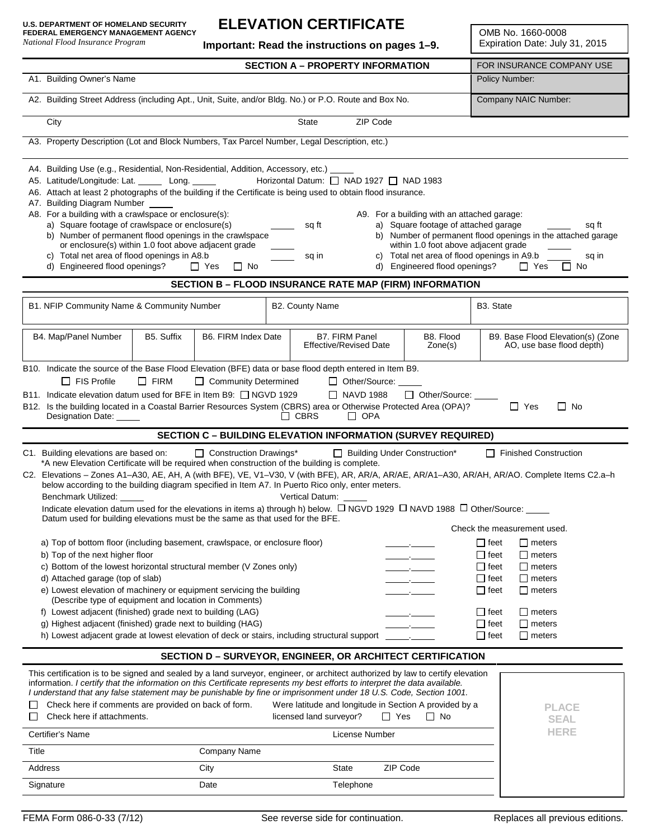*National Flood Insurance Program*

### **ELEVATION CERTIFICATE**

**Important: Read the instructions on pages 1–9.**

OMB No. 1660-0008 Expiration Date: July 31, 2015

|                                                                                                                                                                                                                                                                                                                                                                                                                                                                                                                                                                                                                                                                                                                                                                                                                                                                                                                                                                                                        | <b>SECTION A - PROPERTY INFORMATION</b> |                                                                                                     | FOR INSURANCE COMPANY USE                                                                                                                                                                                                                                                                   |  |  |
|--------------------------------------------------------------------------------------------------------------------------------------------------------------------------------------------------------------------------------------------------------------------------------------------------------------------------------------------------------------------------------------------------------------------------------------------------------------------------------------------------------------------------------------------------------------------------------------------------------------------------------------------------------------------------------------------------------------------------------------------------------------------------------------------------------------------------------------------------------------------------------------------------------------------------------------------------------------------------------------------------------|-----------------------------------------|-----------------------------------------------------------------------------------------------------|---------------------------------------------------------------------------------------------------------------------------------------------------------------------------------------------------------------------------------------------------------------------------------------------|--|--|
| A1. Building Owner's Name                                                                                                                                                                                                                                                                                                                                                                                                                                                                                                                                                                                                                                                                                                                                                                                                                                                                                                                                                                              | Policy Number:                          |                                                                                                     |                                                                                                                                                                                                                                                                                             |  |  |
| A2. Building Street Address (including Apt., Unit, Suite, and/or Bldg. No.) or P.O. Route and Box No.                                                                                                                                                                                                                                                                                                                                                                                                                                                                                                                                                                                                                                                                                                                                                                                                                                                                                                  | Company NAIC Number:                    |                                                                                                     |                                                                                                                                                                                                                                                                                             |  |  |
| City                                                                                                                                                                                                                                                                                                                                                                                                                                                                                                                                                                                                                                                                                                                                                                                                                                                                                                                                                                                                   | State                                   | ZIP Code                                                                                            |                                                                                                                                                                                                                                                                                             |  |  |
| A3. Property Description (Lot and Block Numbers, Tax Parcel Number, Legal Description, etc.)                                                                                                                                                                                                                                                                                                                                                                                                                                                                                                                                                                                                                                                                                                                                                                                                                                                                                                           |                                         |                                                                                                     |                                                                                                                                                                                                                                                                                             |  |  |
| A4. Building Use (e.g., Residential, Non-Residential, Addition, Accessory, etc.) _<br>A5. Latitude/Longitude: Lat. ______ Long. ______ Horizontal Datum: [ NAD 1927   NAD 1983<br>A6. Attach at least 2 photographs of the building if the Certificate is being used to obtain flood insurance.<br>A7. Building Diagram Number<br>A8. For a building with a crawlspace or enclosure(s):<br>A9. For a building with an attached garage:<br>a) Square footage of crawlspace or enclosure(s)<br>a) Square footage of attached garage<br>sq ft<br>sq ft<br>b) Number of permanent flood openings in the crawlspace<br>b) Number of permanent flood openings in the attached garage<br>or enclosure(s) within 1.0 foot above adjacent grade<br>within 1.0 foot above adjacent grade<br>c) Total net area of flood openings in A8.b<br>c) Total net area of flood openings in A9.b<br>sq in<br>sq in<br>d) Engineered flood openings? □ Yes □ No<br>d) Engineered flood openings?<br>$\Box$ Yes<br>$\Box$ No |                                         |                                                                                                     |                                                                                                                                                                                                                                                                                             |  |  |
|                                                                                                                                                                                                                                                                                                                                                                                                                                                                                                                                                                                                                                                                                                                                                                                                                                                                                                                                                                                                        |                                         | <b>SECTION B - FLOOD INSURANCE RATE MAP (FIRM) INFORMATION</b>                                      |                                                                                                                                                                                                                                                                                             |  |  |
| B1. NFIP Community Name & Community Number                                                                                                                                                                                                                                                                                                                                                                                                                                                                                                                                                                                                                                                                                                                                                                                                                                                                                                                                                             | B2. County Name                         |                                                                                                     | B3. State                                                                                                                                                                                                                                                                                   |  |  |
| B4. Map/Panel Number<br>B5. Suffix                                                                                                                                                                                                                                                                                                                                                                                                                                                                                                                                                                                                                                                                                                                                                                                                                                                                                                                                                                     | B6. FIRM Index Date                     | <b>B7. FIRM Panel</b><br>B8. Flood<br><b>Effective/Revised Date</b><br>Zone(s)                      | B9. Base Flood Elevation(s) (Zone<br>AO, use base flood depth)                                                                                                                                                                                                                              |  |  |
| B10. Indicate the source of the Base Flood Elevation (BFE) data or base flood depth entered in Item B9.<br>$\Box$ FIRM<br>$\Box$ FIS Profile<br>□ Community Determined<br>□ Other/Source: _____<br>B11. Indicate elevation datum used for BFE in Item B9: □ NGVD 1929<br>$\Box$ NAVD 1988<br>□ Other/Source:<br>B12. Is the building located in a Coastal Barrier Resources System (CBRS) area or Otherwise Protected Area (OPA)?<br>$\Box$ Yes<br>$\Box$ No<br>Designation Date: _____<br>$\Box$ CBRS<br>$\Box$ OPA<br><b>SECTION C - BUILDING ELEVATION INFORMATION (SURVEY REQUIRED)</b>                                                                                                                                                                                                                                                                                                                                                                                                            |                                         |                                                                                                     |                                                                                                                                                                                                                                                                                             |  |  |
| C1. Building elevations are based on:<br>□ Construction Drawings*<br>Building Under Construction*<br>$\Box$ Finished Construction<br>*A new Elevation Certificate will be required when construction of the building is complete.<br>C2. Elevations - Zones A1-A30, AE, AH, A (with BFE), VE, V1-V30, V (with BFE), AR, AR/A, AR/AE, AR/A1-A30, AR/AH, AR/AO. Complete Items C2.a-h<br>below according to the building diagram specified in Item A7. In Puerto Rico only, enter meters.<br>Benchmark Utilized:<br>Vertical Datum:<br>Indicate elevation datum used for the elevations in items a) through h) below. $\Box$ NGVD 1929 $\Box$ NAVD 1988 $\Box$ Other/Source: ____<br>Datum used for building elevations must be the same as that used for the BFE.                                                                                                                                                                                                                                       |                                         |                                                                                                     |                                                                                                                                                                                                                                                                                             |  |  |
| a) Top of bottom floor (including basement, crawlspace, or enclosure floor)<br>b) Top of the next higher floor<br>c) Bottom of the lowest horizontal structural member (V Zones only)<br>d) Attached garage (top of slab)<br>e) Lowest elevation of machinery or equipment servicing the building<br>(Describe type of equipment and location in Comments)<br>f) Lowest adjacent (finished) grade next to building (LAG)<br>g) Highest adjacent (finished) grade next to building (HAG)<br>h) Lowest adjacent grade at lowest elevation of deck or stairs, including structural support                                                                                                                                                                                                                                                                                                                                                                                                                |                                         |                                                                                                     | Check the measurement used.<br>$\Box$ feet<br>$\Box$ meters<br>$\Box$ feet<br>$\Box$ meters<br>$\Box$ feet<br>$\Box$ meters<br>$\Box$ feet<br>$\Box$ meters<br>$\Box$ feet<br>$\Box$ meters<br>$\Box$ feet<br>$\Box$ meters<br>$\Box$ feet<br>$\Box$ meters<br>$\Box$ feet<br>$\Box$ meters |  |  |
| <b>SECTION D - SURVEYOR, ENGINEER, OR ARCHITECT CERTIFICATION</b>                                                                                                                                                                                                                                                                                                                                                                                                                                                                                                                                                                                                                                                                                                                                                                                                                                                                                                                                      |                                         |                                                                                                     |                                                                                                                                                                                                                                                                                             |  |  |
| This certification is to be signed and sealed by a land surveyor, engineer, or architect authorized by law to certify elevation<br>information. I certify that the information on this Certificate represents my best efforts to interpret the data available.<br>I understand that any false statement may be punishable by fine or imprisonment under 18 U.S. Code, Section 1001.<br>Check here if comments are provided on back of form.<br>Check here if attachments.<br>Certifier's Name                                                                                                                                                                                                                                                                                                                                                                                                                                                                                                          | licensed land surveyor?                 | Were latitude and longitude in Section A provided by a<br>$\Box$ Yes<br>$\Box$ No<br>License Number | <b>PLACE</b><br><b>SEAL</b><br><b>HERE</b>                                                                                                                                                                                                                                                  |  |  |
| Title<br>Company Name                                                                                                                                                                                                                                                                                                                                                                                                                                                                                                                                                                                                                                                                                                                                                                                                                                                                                                                                                                                  |                                         |                                                                                                     |                                                                                                                                                                                                                                                                                             |  |  |
| Address<br>City<br>Signature<br>Date                                                                                                                                                                                                                                                                                                                                                                                                                                                                                                                                                                                                                                                                                                                                                                                                                                                                                                                                                                   |                                         | ZIP Code<br><b>State</b><br>Telephone                                                               |                                                                                                                                                                                                                                                                                             |  |  |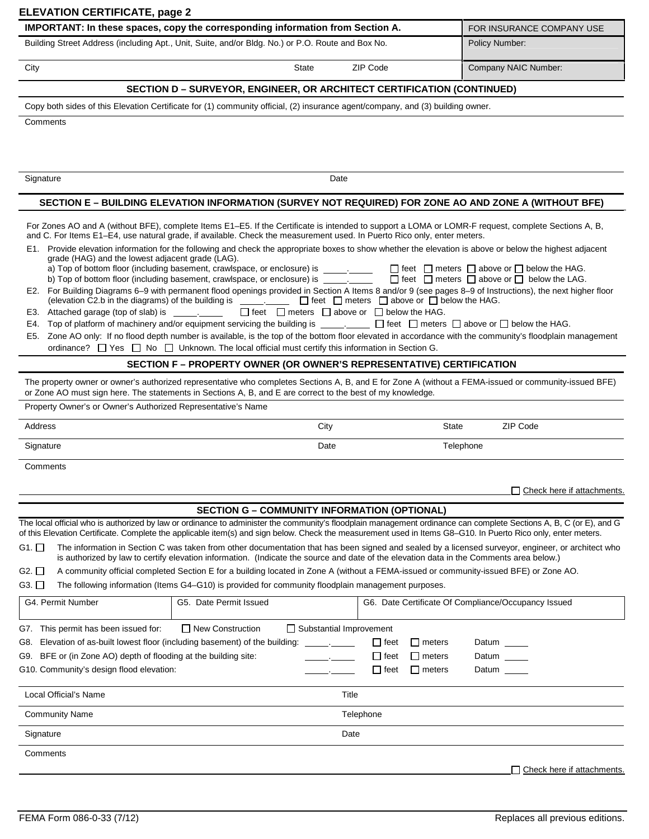|                  | IMPORTANT: In these spaces, copy the corresponding information from Section A.                                                                                                                                                                                                   |          | FOR INSURANCE COMPANY USE |
|------------------|----------------------------------------------------------------------------------------------------------------------------------------------------------------------------------------------------------------------------------------------------------------------------------|----------|---------------------------|
|                  | Building Street Address (including Apt., Unit, Suite, and/or Bldg. No.) or P.O. Route and Box No.                                                                                                                                                                                |          | Policy Number:            |
| City             | <b>State</b>                                                                                                                                                                                                                                                                     | ZIP Code | Company NAIC Number:      |
|                  | <b>SECTION D - SURVEYOR, ENGINEER, OR ARCHITECT CERTIFICATION (CONTINUED)</b>                                                                                                                                                                                                    |          |                           |
|                  | Copy both sides of this Elevation Certificate for (1) community official, (2) insurance agent/company, and (3) building owner.                                                                                                                                                   |          |                           |
| Comments         |                                                                                                                                                                                                                                                                                  |          |                           |
|                  |                                                                                                                                                                                                                                                                                  |          |                           |
|                  |                                                                                                                                                                                                                                                                                  |          |                           |
|                  |                                                                                                                                                                                                                                                                                  |          |                           |
|                  |                                                                                                                                                                                                                                                                                  |          |                           |
|                  |                                                                                                                                                                                                                                                                                  |          |                           |
|                  |                                                                                                                                                                                                                                                                                  | Date     |                           |
|                  |                                                                                                                                                                                                                                                                                  |          |                           |
|                  | SECTION E - BUILDING ELEVATION INFORMATION (SURVEY NOT REQUIRED) FOR ZONE AO AND ZONE A (WITHOUT BFE)                                                                                                                                                                            |          |                           |
|                  |                                                                                                                                                                                                                                                                                  |          |                           |
|                  | For Zones AO and A (without BFE), complete Items E1–E5. If the Certificate is intended to support a LOMA or LOMR-F request, complete Sections A, B,<br>and C. For Items E1-E4, use natural grade, if available. Check the measurement used. In Puerto Rico only, enter meters.   |          |                           |
|                  | E1. Provide elevation information for the following and check the appropriate boxes to show whether the elevation is above or below the highest adjacent<br>grade (HAG) and the lowest adjacent grade (LAG).                                                                     |          |                           |
|                  |                                                                                                                                                                                                                                                                                  |          |                           |
|                  |                                                                                                                                                                                                                                                                                  |          |                           |
|                  | E2. For Building Diagrams 6-9 with permanent flood openings provided in Section A Items 8 and/or 9 (see pages 8-9 of Instructions), the next higher floor<br>(elevation C2.b in the diagrams) of the building is $\Box$ feet $\Box$ meters $\Box$ above or $\Box$ below the HAG. |          |                           |
| Signature<br>E3. |                                                                                                                                                                                                                                                                                  |          |                           |
| E4.              | Top of platform of machinery and/or equipment servicing the building is $\Box$ . $\Box$ feet $\Box$ meters $\Box$ above or $\Box$ below the HAG.                                                                                                                                 |          |                           |

ordinance?  $\Box$  Yes  $\Box$  No  $\Box$  Unknown. The local official must certify this information in Section G.

### **SECTION F – PROPERTY OWNER (OR OWNER'S REPRESENTATIVE) CERTIFICATION**

The property owner or owner's authorized representative who completes Sections A, B, and E for Zone A (without a FEMA-issued or community-issued BFE) or Zone AO must sign here. The statements in Sections A, B, and E are correct to the best of my knowledge.

Property Owner's or Owner's Authorized Representative's Name

Address and the control of the control of the City of the City of State State ZIP Code

Signature **Date Telephone** Controller in the Date of the Date of the Date of Telephone

**Comments** 

Check here if attachments.

#### **SECTION G – COMMUNITY INFORMATION (OPTIONAL)**

The local official who is authorized by law or ordinance to administer the community's floodplain management ordinance can complete Sections A, B, C (or E), and G of this Elevation Certificate. Complete the applicable item(s) and sign below. Check the measurement used in Items G8–G10. In Puerto Rico only, enter meters.

| G1. □ The information in Section C was taken from other documentation that has been signed and sealed by a licensed surveyor, engineer, or architect who |  |
|----------------------------------------------------------------------------------------------------------------------------------------------------------|--|
| is authorized by law to certify elevation information. (Indicate the source and date of the elevation data in the Comments area below.)                  |  |

G2.  $\Box$  A community official completed Section E for a building located in Zone A (without a FEMA-issued or community-issued BFE) or Zone AO.

G3.  $\Box$  The following information (Items G4–G10) is provided for community floodplain management purposes.

| G4. Permit Number                                                               | Date Permit Issued<br>G5.                                 |       |             |               | G6. Date Certificate Of Compliance/Occupancy Issued |
|---------------------------------------------------------------------------------|-----------------------------------------------------------|-------|-------------|---------------|-----------------------------------------------------|
| This permit has been issued for:<br>G7.                                         | $\Box$ New Construction<br>$\Box$ Substantial Improvement |       |             |               |                                                     |
| Elevation of as-built lowest floor (including basement) of the building:<br>G8. |                                                           |       | $\Box$ feet | $\Box$ meters | Datum                                               |
| BFE or (in Zone AO) depth of flooding at the building site:<br>G9.              |                                                           |       | $\Box$ feet | $\Box$ meters | Datum                                               |
| G10. Community's design flood elevation:                                        |                                                           |       | $\Box$ feet | $\Box$ meters | Datum                                               |
|                                                                                 |                                                           |       |             |               |                                                     |
| Local Official's Name                                                           |                                                           | Title |             |               |                                                     |
| <b>Community Name</b>                                                           |                                                           |       | Telephone   |               |                                                     |
| Signature                                                                       |                                                           | Date  |             |               |                                                     |
| Comments                                                                        |                                                           |       |             |               |                                                     |
|                                                                                 |                                                           |       |             |               | $\sqcap$ Check here if attachments.                 |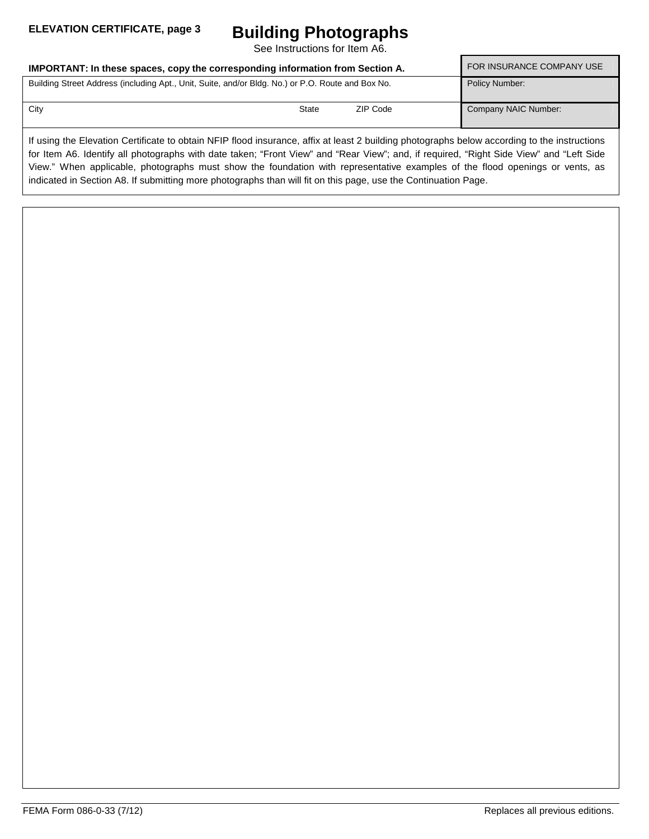## **Building Photographs**

See Instructions for Item A6.

| IMPORTANT: In these spaces, copy the corresponding information from Section A.                    | <b>FOR INSURANCE COMPANY USE</b> |          |                      |
|---------------------------------------------------------------------------------------------------|----------------------------------|----------|----------------------|
| Building Street Address (including Apt., Unit, Suite, and/or Bldg. No.) or P.O. Route and Box No. |                                  |          | Policy Number:       |
| City                                                                                              | State                            | ZIP Code | Company NAIC Number: |

If using the Elevation Certificate to obtain NFIP flood insurance, affix at least 2 building photographs below according to the instructions for Item A6. Identify all photographs with date taken; "Front View" and "Rear View"; and, if required, "Right Side View" and "Left Side View." When applicable, photographs must show the foundation with representative examples of the flood openings or vents, as indicated in Section A8. If submitting more photographs than will fit on this page, use the Continuation Page.